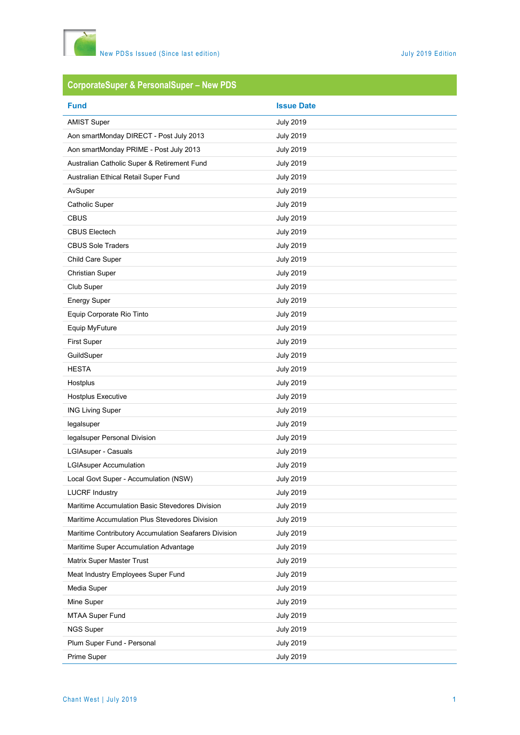

# **CorporateSuper & PersonalSuper – New PDS**

| <b>Fund</b>                                           | <b>Issue Date</b> |
|-------------------------------------------------------|-------------------|
| <b>AMIST Super</b>                                    | <b>July 2019</b>  |
| Aon smartMonday DIRECT - Post July 2013               | <b>July 2019</b>  |
| Aon smartMonday PRIME - Post July 2013                | <b>July 2019</b>  |
| Australian Catholic Super & Retirement Fund           | <b>July 2019</b>  |
| Australian Ethical Retail Super Fund                  | <b>July 2019</b>  |
| AvSuper                                               | <b>July 2019</b>  |
| <b>Catholic Super</b>                                 | <b>July 2019</b>  |
| <b>CBUS</b>                                           | <b>July 2019</b>  |
| <b>CBUS Electech</b>                                  | <b>July 2019</b>  |
| <b>CBUS Sole Traders</b>                              | <b>July 2019</b>  |
| Child Care Super                                      | <b>July 2019</b>  |
| <b>Christian Super</b>                                | <b>July 2019</b>  |
| Club Super                                            | <b>July 2019</b>  |
| <b>Energy Super</b>                                   | <b>July 2019</b>  |
| Equip Corporate Rio Tinto                             | <b>July 2019</b>  |
| Equip MyFuture                                        | <b>July 2019</b>  |
| <b>First Super</b>                                    | <b>July 2019</b>  |
| GuildSuper                                            | <b>July 2019</b>  |
| <b>HESTA</b>                                          | <b>July 2019</b>  |
| Hostplus                                              | <b>July 2019</b>  |
| Hostplus Executive                                    | <b>July 2019</b>  |
| <b>ING Living Super</b>                               | <b>July 2019</b>  |
| legalsuper                                            | <b>July 2019</b>  |
| legalsuper Personal Division                          | <b>July 2019</b>  |
| LGIAsuper - Casuals                                   | <b>July 2019</b>  |
| <b>LGIAsuper Accumulation</b>                         | <b>July 2019</b>  |
| Local Govt Super - Accumulation (NSW)                 | <b>July 2019</b>  |
| <b>LUCRF Industry</b>                                 | <b>July 2019</b>  |
| Maritime Accumulation Basic Stevedores Division       | <b>July 2019</b>  |
| Maritime Accumulation Plus Stevedores Division        | <b>July 2019</b>  |
| Maritime Contributory Accumulation Seafarers Division | <b>July 2019</b>  |
| Maritime Super Accumulation Advantage                 | <b>July 2019</b>  |
| Matrix Super Master Trust                             | <b>July 2019</b>  |
| Meat Industry Employees Super Fund                    | <b>July 2019</b>  |
| Media Super                                           | <b>July 2019</b>  |
| Mine Super                                            | <b>July 2019</b>  |
| <b>MTAA Super Fund</b>                                | <b>July 2019</b>  |
| <b>NGS Super</b>                                      | <b>July 2019</b>  |
| Plum Super Fund - Personal                            | <b>July 2019</b>  |
| Prime Super                                           | <b>July 2019</b>  |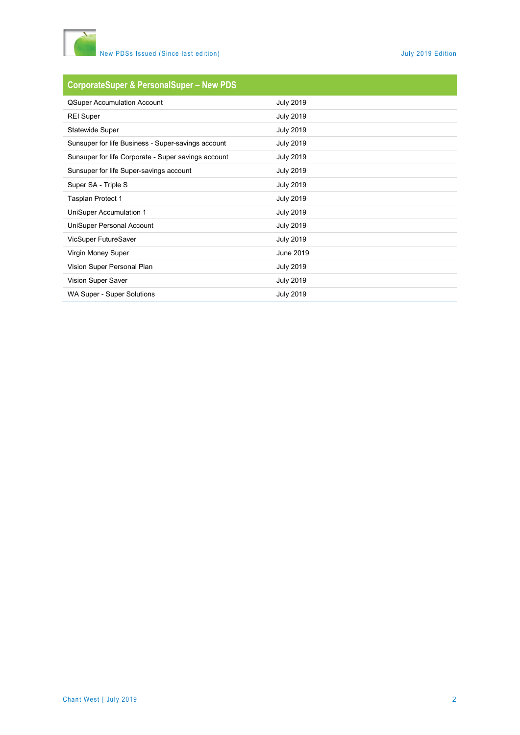

### **CorporateSuper & PersonalSuper – New PDS**

| <b>QSuper Accumulation Account</b>                  | <b>July 2019</b> |
|-----------------------------------------------------|------------------|
| <b>REI Super</b>                                    | <b>July 2019</b> |
| <b>Statewide Super</b>                              | <b>July 2019</b> |
| Sunsuper for life Business - Super-savings account  | <b>July 2019</b> |
| Sunsuper for life Corporate - Super savings account | <b>July 2019</b> |
| Sunsuper for life Super-savings account             | <b>July 2019</b> |
| Super SA - Triple S                                 | <b>July 2019</b> |
| Tasplan Protect 1                                   | <b>July 2019</b> |
| UniSuper Accumulation 1                             | <b>July 2019</b> |
| UniSuper Personal Account                           | <b>July 2019</b> |
| VicSuper FutureSaver                                | <b>July 2019</b> |
| Virgin Money Super                                  | June 2019        |
| Vision Super Personal Plan                          | <b>July 2019</b> |
| Vision Super Saver                                  | <b>July 2019</b> |
| WA Super - Super Solutions                          | <b>July 2019</b> |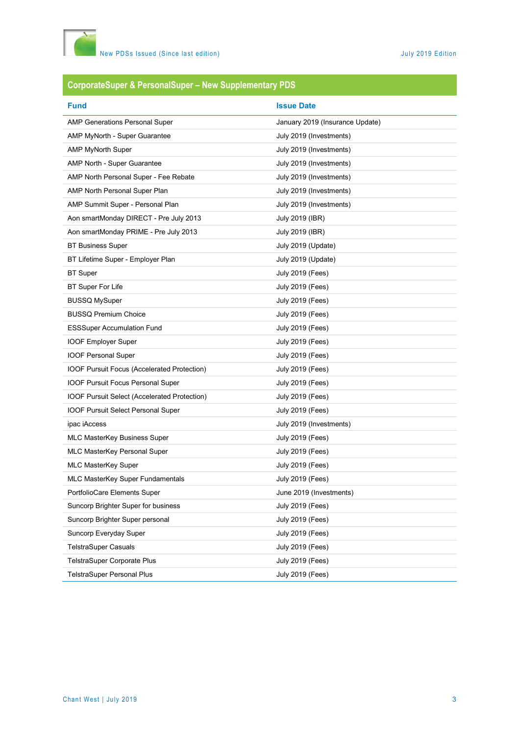

# **CorporateSuper & PersonalSuper – New Supplementary PDS**

| <b>Fund</b>                                  | <b>Issue Date</b>               |
|----------------------------------------------|---------------------------------|
| <b>AMP Generations Personal Super</b>        | January 2019 (Insurance Update) |
| AMP MyNorth - Super Guarantee                | July 2019 (Investments)         |
| <b>AMP MyNorth Super</b>                     | July 2019 (Investments)         |
| AMP North - Super Guarantee                  | July 2019 (Investments)         |
| AMP North Personal Super - Fee Rebate        | July 2019 (Investments)         |
| AMP North Personal Super Plan                | July 2019 (Investments)         |
| AMP Summit Super - Personal Plan             | July 2019 (Investments)         |
| Aon smartMonday DIRECT - Pre July 2013       | July 2019 (IBR)                 |
| Aon smartMonday PRIME - Pre July 2013        | July 2019 (IBR)                 |
| <b>BT Business Super</b>                     | July 2019 (Update)              |
| BT Lifetime Super - Employer Plan            | July 2019 (Update)              |
| <b>BT</b> Super                              | <b>July 2019 (Fees)</b>         |
| <b>BT Super For Life</b>                     | <b>July 2019 (Fees)</b>         |
| <b>BUSSQ MySuper</b>                         | <b>July 2019 (Fees)</b>         |
| <b>BUSSQ Premium Choice</b>                  | <b>July 2019 (Fees)</b>         |
| <b>ESSSuper Accumulation Fund</b>            | <b>July 2019 (Fees)</b>         |
| <b>IOOF Employer Super</b>                   | <b>July 2019 (Fees)</b>         |
| <b>IOOF Personal Super</b>                   | <b>July 2019 (Fees)</b>         |
| IOOF Pursuit Focus (Accelerated Protection)  | <b>July 2019 (Fees)</b>         |
| <b>IOOF Pursuit Focus Personal Super</b>     | <b>July 2019 (Fees)</b>         |
| IOOF Pursuit Select (Accelerated Protection) | <b>July 2019 (Fees)</b>         |
| <b>IOOF Pursuit Select Personal Super</b>    | <b>July 2019 (Fees)</b>         |
| ipac iAccess                                 | July 2019 (Investments)         |
| <b>MLC MasterKey Business Super</b>          | <b>July 2019 (Fees)</b>         |
| MLC MasterKey Personal Super                 | <b>July 2019 (Fees)</b>         |
| <b>MLC MasterKey Super</b>                   | <b>July 2019 (Fees)</b>         |
| MLC MasterKey Super Fundamentals             | <b>July 2019 (Fees)</b>         |
| PortfolioCare Elements Super                 | June 2019 (Investments)         |
| Suncorp Brighter Super for business          | <b>July 2019 (Fees)</b>         |
| Suncorp Brighter Super personal              | <b>July 2019 (Fees)</b>         |
| Suncorp Everyday Super                       | <b>July 2019 (Fees)</b>         |
| <b>TelstraSuper Casuals</b>                  | <b>July 2019 (Fees)</b>         |
| TelstraSuper Corporate Plus                  | <b>July 2019 (Fees)</b>         |
| <b>TelstraSuper Personal Plus</b>            | <b>July 2019 (Fees)</b>         |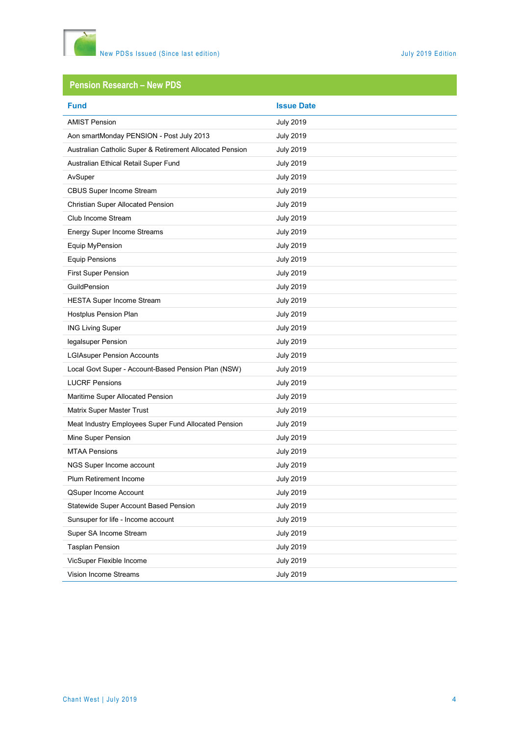

## **Pension Research – New PDS**

| <b>Fund</b>                                              | <b>Issue Date</b> |
|----------------------------------------------------------|-------------------|
| <b>AMIST Pension</b>                                     | <b>July 2019</b>  |
| Aon smartMonday PENSION - Post July 2013                 | <b>July 2019</b>  |
| Australian Catholic Super & Retirement Allocated Pension | <b>July 2019</b>  |
| Australian Ethical Retail Super Fund                     | <b>July 2019</b>  |
| AvSuper                                                  | <b>July 2019</b>  |
| <b>CBUS Super Income Stream</b>                          | <b>July 2019</b>  |
| Christian Super Allocated Pension                        | <b>July 2019</b>  |
| Club Income Stream                                       | <b>July 2019</b>  |
| Energy Super Income Streams                              | <b>July 2019</b>  |
| Equip MyPension                                          | <b>July 2019</b>  |
| <b>Equip Pensions</b>                                    | <b>July 2019</b>  |
| <b>First Super Pension</b>                               | <b>July 2019</b>  |
| GuildPension                                             | <b>July 2019</b>  |
| <b>HESTA Super Income Stream</b>                         | <b>July 2019</b>  |
| Hostplus Pension Plan                                    | <b>July 2019</b>  |
| <b>ING Living Super</b>                                  | <b>July 2019</b>  |
| legalsuper Pension                                       | <b>July 2019</b>  |
| <b>LGIAsuper Pension Accounts</b>                        | <b>July 2019</b>  |
| Local Govt Super - Account-Based Pension Plan (NSW)      | <b>July 2019</b>  |
| <b>LUCRF Pensions</b>                                    | <b>July 2019</b>  |
| Maritime Super Allocated Pension                         | <b>July 2019</b>  |
| Matrix Super Master Trust                                | <b>July 2019</b>  |
| Meat Industry Employees Super Fund Allocated Pension     | <b>July 2019</b>  |
| Mine Super Pension                                       | <b>July 2019</b>  |
| <b>MTAA Pensions</b>                                     | <b>July 2019</b>  |
| NGS Super Income account                                 | <b>July 2019</b>  |
| Plum Retirement Income                                   | <b>July 2019</b>  |
| QSuper Income Account                                    | <b>July 2019</b>  |
| Statewide Super Account Based Pension                    | <b>July 2019</b>  |
| Sunsuper for life - Income account                       | <b>July 2019</b>  |
| Super SA Income Stream                                   | <b>July 2019</b>  |
| <b>Tasplan Pension</b>                                   | <b>July 2019</b>  |
| VicSuper Flexible Income                                 | <b>July 2019</b>  |
| Vision Income Streams                                    | <b>July 2019</b>  |